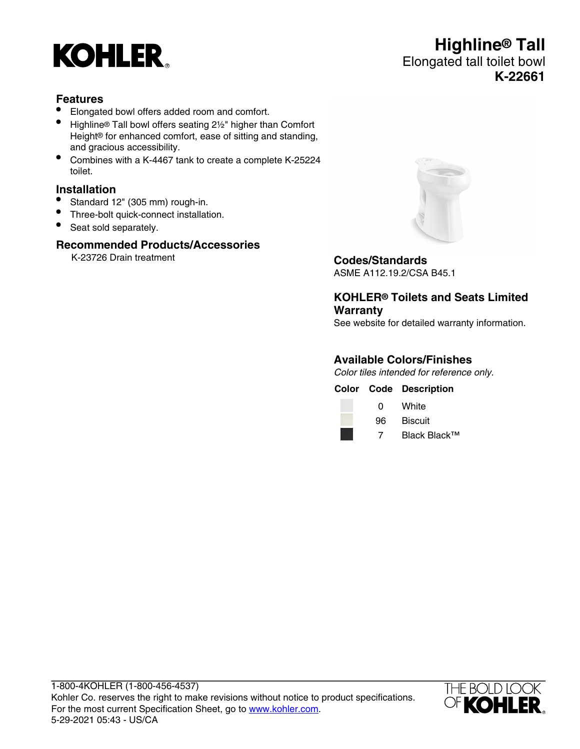

# **Features**

- Elongated bowl offers added room and comfort.
- Highline® Tall bowl offers seating 2½" higher than Comfort Height® for enhanced comfort, ease of sitting and standing, and gracious accessibility.
- Combines with a K-4467 tank to create a complete K-25224 toilet.

# **Installation**

- Standard 12" (305 mm) rough-in.
- Three-bolt quick-connect installation.
- Seat sold separately.

### **Recommended Products/Accessories**

K-23726 Drain treatment **Codes/Standards**



ASME A112.19.2/CSA B45.1

**KOHLER® Toilets and Seats Limited Warranty**

See website for detailed warranty information.

#### **Available Colors/Finishes**

Color tiles intended for reference only.

**Color Code Description**



0 White



7 Black Black™

1-800-4KOHLER (1-800-456-4537) Kohler Co. reserves the right to make revisions without notice to product specifications. For the most current Specification Sheet, go to [www.kohler.com](http://www.kohler.com). 5-29-2021 05:43 - US/CA



# **Highline® Tall** Elongated tall toilet bowl **K-22661**